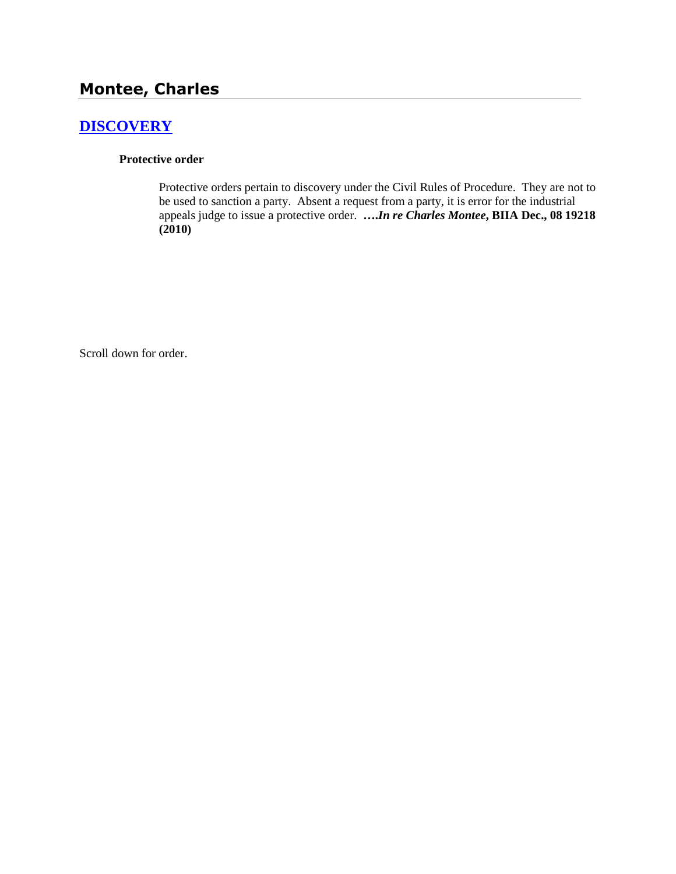# **Montee, Charles**

# **[DISCOVERY](http://www.biia.wa.gov/SDSubjectIndex.html#DISCOVERYFITS)**

### **Protective order**

Protective orders pertain to discovery under the Civil Rules of Procedure. They are not to be used to sanction a party. Absent a request from a party, it is error for the industrial appeals judge to issue a protective order. **….***In re Charles Montee***, BIIA Dec., 08 19218 (2010)**

Scroll down for order.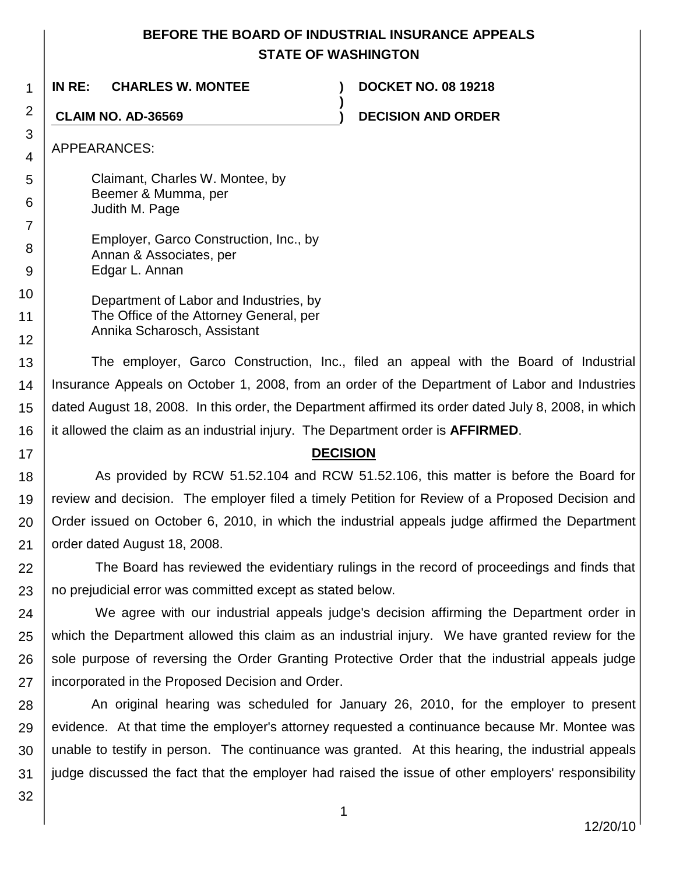## **BEFORE THE BOARD OF INDUSTRIAL INSURANCE APPEALS STATE OF WASHINGTON**

**)**

**IN RE: CHARLES W. MONTEE ) DOCKET NO. 08 19218**

**CLAIM NO. AD-36569 ) DECISION AND ORDER**

APPEARANCES:

1

2

3

4

5

6

17

Claimant, Charles W. Montee, by Beemer & Mumma, per Judith M. Page

7 8 9 Employer, Garco Construction, Inc., by Annan & Associates, per Edgar L. Annan

10 11 12 Department of Labor and Industries, by The Office of the Attorney General, per Annika Scharosch, Assistant

13 14 15 16 The employer, Garco Construction, Inc., filed an appeal with the Board of Industrial Insurance Appeals on October 1, 2008, from an order of the Department of Labor and Industries dated August 18, 2008. In this order, the Department affirmed its order dated July 8, 2008, in which it allowed the claim as an industrial injury. The Department order is **AFFIRMED**.

## **DECISION**

18 19 20 21 As provided by RCW 51.52.104 and RCW 51.52.106, this matter is before the Board for review and decision. The employer filed a timely Petition for Review of a Proposed Decision and Order issued on October 6, 2010, in which the industrial appeals judge affirmed the Department order dated August 18, 2008.

22 23 The Board has reviewed the evidentiary rulings in the record of proceedings and finds that no prejudicial error was committed except as stated below.

24 25 26 27 We agree with our industrial appeals judge's decision affirming the Department order in which the Department allowed this claim as an industrial injury. We have granted review for the sole purpose of reversing the Order Granting Protective Order that the industrial appeals judge incorporated in the Proposed Decision and Order.

28 29 30 31 An original hearing was scheduled for January 26, 2010, for the employer to present evidence. At that time the employer's attorney requested a continuance because Mr. Montee was unable to testify in person. The continuance was granted. At this hearing, the industrial appeals judge discussed the fact that the employer had raised the issue of other employers' responsibility

32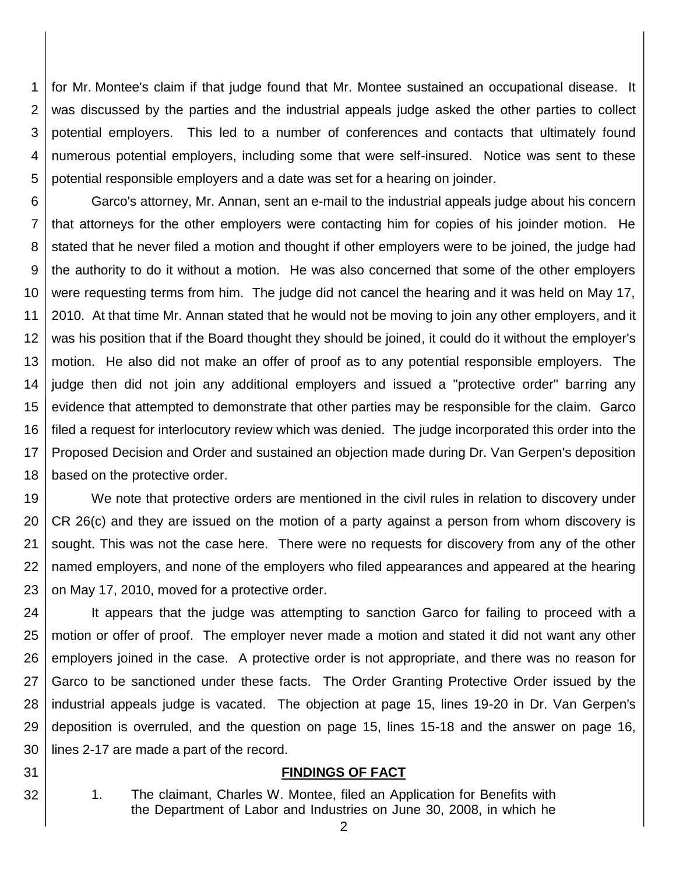1 2 3 4 5 for Mr. Montee's claim if that judge found that Mr. Montee sustained an occupational disease. It was discussed by the parties and the industrial appeals judge asked the other parties to collect potential employers. This led to a number of conferences and contacts that ultimately found numerous potential employers, including some that were self-insured. Notice was sent to these potential responsible employers and a date was set for a hearing on joinder.

6 7 8 9 10 11 12 13 14 15 16 17 18 Garco's attorney, Mr. Annan, sent an e-mail to the industrial appeals judge about his concern that attorneys for the other employers were contacting him for copies of his joinder motion. He stated that he never filed a motion and thought if other employers were to be joined, the judge had the authority to do it without a motion. He was also concerned that some of the other employers were requesting terms from him. The judge did not cancel the hearing and it was held on May 17, 2010. At that time Mr. Annan stated that he would not be moving to join any other employers, and it was his position that if the Board thought they should be joined, it could do it without the employer's motion. He also did not make an offer of proof as to any potential responsible employers. The judge then did not join any additional employers and issued a "protective order" barring any evidence that attempted to demonstrate that other parties may be responsible for the claim. Garco filed a request for interlocutory review which was denied. The judge incorporated this order into the Proposed Decision and Order and sustained an objection made during Dr. Van Gerpen's deposition based on the protective order.

19 20 21 22 23 We note that protective orders are mentioned in the civil rules in relation to discovery under CR 26(c) and they are issued on the motion of a party against a person from whom discovery is sought. This was not the case here. There were no requests for discovery from any of the other named employers, and none of the employers who filed appearances and appeared at the hearing on May 17, 2010, moved for a protective order.

24 25 26 27 28 29 30 It appears that the judge was attempting to sanction Garco for failing to proceed with a motion or offer of proof. The employer never made a motion and stated it did not want any other employers joined in the case. A protective order is not appropriate, and there was no reason for Garco to be sanctioned under these facts. The Order Granting Protective Order issued by the industrial appeals judge is vacated. The objection at page 15, lines 19-20 in Dr. Van Gerpen's deposition is overruled, and the question on page 15, lines 15-18 and the answer on page 16, lines 2-17 are made a part of the record.

### **FINDINGS OF FACT**

1. The claimant, Charles W. Montee, filed an Application for Benefits with the Department of Labor and Industries on June 30, 2008, in which he

31

32

2